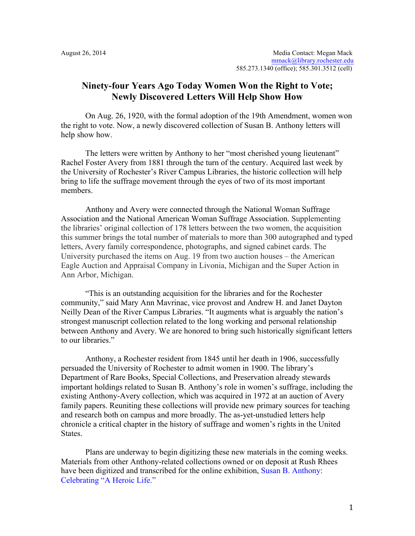## **Ninety-four Years Ago Today Women Won the Right to Vote; Newly Discovered Letters Will Help Show How**

On Aug. 26, 1920, with the formal adoption of the 19th Amendment, women won the right to vote. Now, a newly discovered collection of Susan B. Anthony letters will help show how.

The letters were written by Anthony to her "most cherished young lieutenant" Rachel Foster Avery from 1881 through the turn of the century. Acquired last week by the University of Rochester's River Campus Libraries, the historic collection will help bring to life the suffrage movement through the eyes of two of its most important members.

Anthony and Avery were connected through the National Woman Suffrage Association and the National American Woman Suffrage Association. Supplementing the libraries' original collection of 178 letters between the two women, the acquisition this summer brings the total number of materials to more than 300 autographed and typed letters, Avery family correspondence, photographs, and signed cabinet cards. The University purchased the items on Aug. 19 from two auction houses – the American Eagle Auction and Appraisal Company in Livonia, Michigan and the Super Action in Ann Arbor, Michigan.

"This is an outstanding acquisition for the libraries and for the Rochester community," said Mary Ann Mavrinac, vice provost and Andrew H. and Janet Dayton Neilly Dean of the River Campus Libraries. "It augments what is arguably the nation's strongest manuscript collection related to the long working and personal relationship between Anthony and Avery. We are honored to bring such historically significant letters to our libraries."

Anthony, a Rochester resident from 1845 until her death in 1906, successfully persuaded the University of Rochester to admit women in 1900. The library's Department of Rare Books, Special Collections, and Preservation already stewards important holdings related to Susan B. Anthony's role in women's suffrage, including the existing Anthony-Avery collection, which was acquired in 1972 at an auction of Avery family papers. Reuniting these collections will provide new primary sources for teaching and research both on campus and more broadly. The as-yet-unstudied letters help chronicle a critical chapter in the history of suffrage and women's rights in the United States.

Plans are underway to begin digitizing these new materials in the coming weeks. Materials from other Anthony-related collections owned or on deposit at Rush Rhees have been digitized and transcribed for the online exhibition, Susan B. Anthony: Celebrating "A Heroic Life."